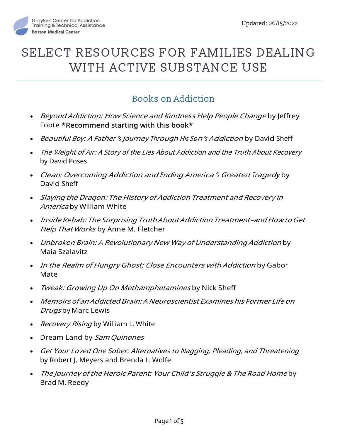

# Books on Addiction

- Beyond Addiction: How Science and Kindness Help People Change by Jeffrey Foote \*Recommend starting with this book\*
- Beautiful Boy: A Father's Journey Through His Son's Addiction by David Sheff
- The Weight of Air: A Story of the Lies About Addiction and the Truth About Recovery by David Poses
- Clean: Overcoming Addiction and Ending America's Greatest Tragedy by David Sheff
- Slaying the Dragon: The History of Addiction Treatment and Recovery in America by William White
- Inside Rehab: The Surprising Truth About Addiction Treatment–and How to Get Help That Works by Anne M. Fletcher
- Unbroken Brain: A Revolutionary New Way of Understanding Addiction by Maia Szalavitz
- In the Realm of Hungry Ghost: Close Encounters with Addiction by Gabor Mate
- Tweak: Growing Up On Methamphetamines by Nick Sheff
- Memoirs of an Addicted Brain: A Neuroscientist Examines his Former Life on Drugs by Marc Lewis
- Recovery Rising by William L. White
- Dream Land by Sam Quinones
- Get Your Loved One Sober: Alternatives to Nagging, Pleading, and Threatening by Robert J. Meyers and Brenda L. Wolfe
- The Journey of the Heroic Parent: Your Child's Struggle & The Road Home by Brad M. Reedy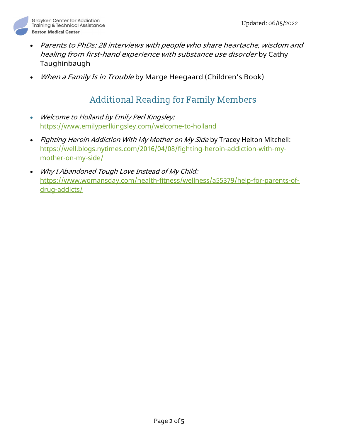

- Parents to PhDs: 28 interviews with people who share heartache, wisdom and healing from first-hand experience with substance use disorder by Cathy Taughinbaugh
- When a Family Is in Trouble by Marge Heegaard (Children's Book)

## Additional Reading for Family Members

- Welcome to Holland by Emily Perl Kingsley: https://www.emilyperlkingsley.com/welcome-to-holland
- Fighting Heroin Addiction With My Mother on My Side by Tracey Helton Mitchell: https://well.blogs.nytimes.com/2016/04/08/fighting-heroin-addiction-with-mymother-on-my-side/
- Why I Abandoned Tough Love Instead of My Child: https://www.womansday.com/health-fitness/wellness/a55379/help-for-parents-ofdrug-addicts/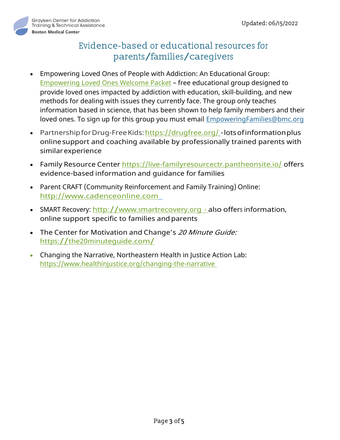

# Evidence-based or educational resources for parents/families/caregivers

- Empowering Loved Ones of People with Addiction: An Educational Group: Empowering Loved Ones Welcome Packet – free educational group designed to provide loved ones impacted by addiction with education, skill-building, and new methods for dealing with issues they currently face. The group only teaches information based in science, that has been shown to help family members and their loved ones. To sign up for this group you must email EmpoweringFamilies@bmc.org
- **•** Partnership for Drug-Free Kids: https://drugfree.org/ lots of information plus online support and coaching available by professionally trained parents with similar experience
- Family Resource Center https://live-familyresourcectr.pantheonsite.io/ offers evidence-based information and guidance for families
- Parent CRAFT (Community Reinforcement and Family Training) Online: http://www.cadenceonline.com
- SMART Recovery: http://www.smartrecovery.org also offers information, online support specific to families and parents
- The Center for Motivation and Change's 20 Minute Guide: https://the20minuteguide.com/
- Changing the Narrative, Northeastern Health in Justice Action Lab: https://www.healthinjustice.org/changing-the-narrative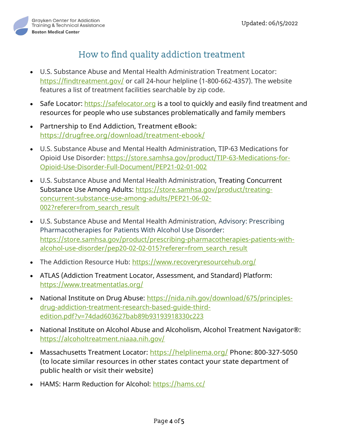

# How to find quality addiction treatment

- U.S. Substance Abuse and Mental Health Administration Treatment Locator: https://findtreatment.gov/ or call 24-hour helpline (1-800-662-4357). The website features a list of treatment facilities searchable by zip code.
- Safe Locator: https://safelocator.org is a tool to quickly and easily find treatment and resources for people who use substances problematically and family members
- Partnership to End Addiction, Treatment eBook: https://drugfree.org/download/treatment-ebook/
- U.S. Substance Abuse and Mental Health Administration, TIP-63 Medications for Opioid Use Disorder: https://store.samhsa.gov/product/TIP-63-Medications-for-Opioid-Use-Disorder-Full-Document/PEP21-02-01-002
- U.S. Substance Abuse and Mental Health Administration, Treating Concurrent Substance Use Among Adults: https://store.samhsa.gov/product/treatingconcurrent-substance-use-among-adults/PEP21-06-02- 002?referer=from\_search\_result
- U.S. Substance Abuse and Mental Health Administration, Advisory: Prescribing Pharmacotherapies for Patients With Alcohol Use Disorder: https://store.samhsa.gov/product/prescribing-pharmacotherapies-patients-withalcohol-use-disorder/pep20-02-02-015?referer=from\_search\_result
- The Addiction Resource Hub: https://www.recoveryresourcehub.org/
- ATLAS (Addiction Treatment Locator, Assessment, and Standard) Platform: https://www.treatmentatlas.org/
- National Institute on Drug Abuse: https://nida.nih.gov/download/675/principlesdrug-addiction-treatment-research-based-guide-thirdedition.pdf?v=74dad603627bab89b93193918330c223
- National Institute on Alcohol Abuse and Alcoholism, Alcohol Treatment Navigator®: https://alcoholtreatment.niaaa.nih.gov/
- Massachusetts Treatment Locator: https://helplinema.org/ Phone: 800-327-5050 (to locate similar resources in other states contact your state department of public health or visit their website)
- HAMS: Harm Reduction for Alcohol: https://hams.cc/